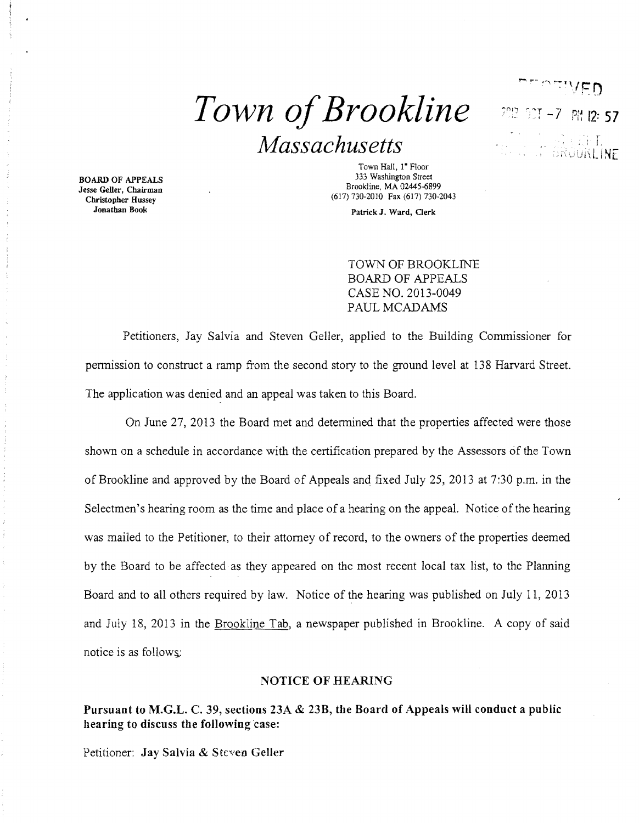# $Town of Brookline$  **Pix 12: 57** <sup>r</sup>*Massachusetts* ; 1

Jesse Geller, Chairman Christopher Hussey Jonathan Book

Town Hall, 1<sup>\*</sup> Floor<br>333 Washington Street 333 Washington Street Books are the Books of the Books of the Books of the Books of the Books of Geller Chairman (617) 730-2010 Fax (617) 730-2043

Patrick J, Ward, Clerk

TOWN OF BROOKLINE BOARD OF APPEALS CASE NO. 2013-0049 PAUL MCADAMS

LINt

Petitioners, Jay Salvia and Steven Geller, applied to the Building Commissioner for permission to construct a ramp from the second story to the ground level at 138 Harvard Street. The application was denied and an appeal was taken to this Board.

On June 27, 2013 the Board met and determined that the properties affected were those shown on a schedule in accordance with the certification prepared by the Assessors of the Town of Brookline and approved by the Board of Appeals and fixed July 25,2013 at 7:30 p.m. in the Selectmen's hearing room as the time and place of a hearing on the appeal. Notice of the hearing was mailed to the Petitioner, to their attorney of record, to the owners of the properties deemed by the Board to be affected as they appeared on the most recent local tax list, to the Planning Board and to all others required by law. Notice of the hearing was published on July 11, 2013 and July 18, 2013 in the Brookline Tab, a newspaper published in Brookline. A copy of said notice is as follows:

## NOTICE OF HEARING

Pursuant to M.G.L. C. 39, sections 23A & 23B, the Board of Appeals will conduct a public hearing to discuss the following case:

Petitioner: Jay Salvia & Steven Geller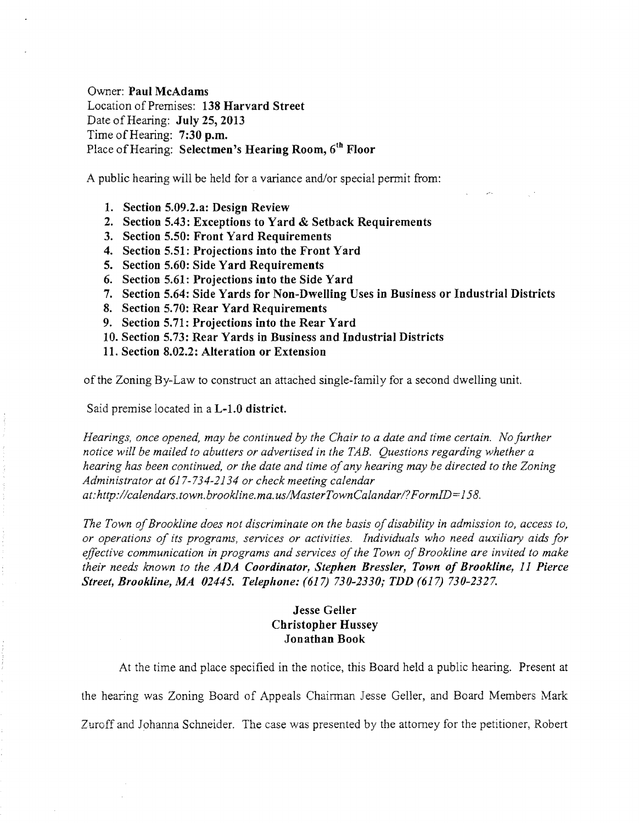Owner: Paul McAdams Location of Premises: 138 Harvard Street Date of Hearing: July 25, 2013 Time of Hearing: 7:30 p.m. Place of Hearing: Selectmen's Hearing Room, 6<sup>th</sup> Floor

A public hearing will be held for a variance and/or special permit from:

- 1. Section 5.09.2.a: Design Review
- 2. Section 5.43: Exceptions to Yard & Setback Requirements
- 3. Section 5.50: Front Yard Requirements
- 4. Section 5.51: Projections into the Front Yard
- 5. Section 5.60: Side Yard Requirements
- 6. Section 5.61: Projections into the Side Yard
- 7. Section 5.64: Side Yards for Non-Dwelling Uses in Business or Industrial Districts
- 8. Section 5.70: Rear Yard Requirements
- 9. Section 5.71: Projections into the Rear Yard
- 10. Section 5.73: Rear Yards in Business and Industrial Districts
- 11. Section 8.02.2: Alteration or Extension

of the Zoning By-Law to construct an attached single-family for a second dwelling unit.

Said premise located in a L-1.0 district.

*Hearings, once opened, may be continued by the Chair to a date and time certain. No further notice will be mailed to abutters or advertised in the TAB. Questions regarding whether a hearing has been continued, or the date and time ofany hearing may be directed to the Zoning Administrator at* 617-734-2134 *or check meeting calendar at:http://calendars.town.brookline.ma.usIMasterTownCalandarl?FormID=158.* 

*The Town of Brookline does not discriminate on the basis of disability in admission to, access to, or operations of its programs, services or activities. Individuals who need auxiliary aids for*  effective communication in programs and services of the Town of Brookline are invited to make *their needs known to the ADA Coordinator, Stephen Bressler, Town of Brookline,* 11 *Pierce Street, Brookline, MA 02445. Telephone:* (617) *730-2330; TDD* (617) *730-2327.* 

## Jesse Geller Christopher Hussey Jonathan Book

At the time and place specified in the notice, this Board held a public hearing. Present at the hearing was Zoning Board of Appeals Chairman Jesse Geller, and Board Members Mark Zuroff and Johanna Schneider. The case was presented by the attorney for the petitioner, Robert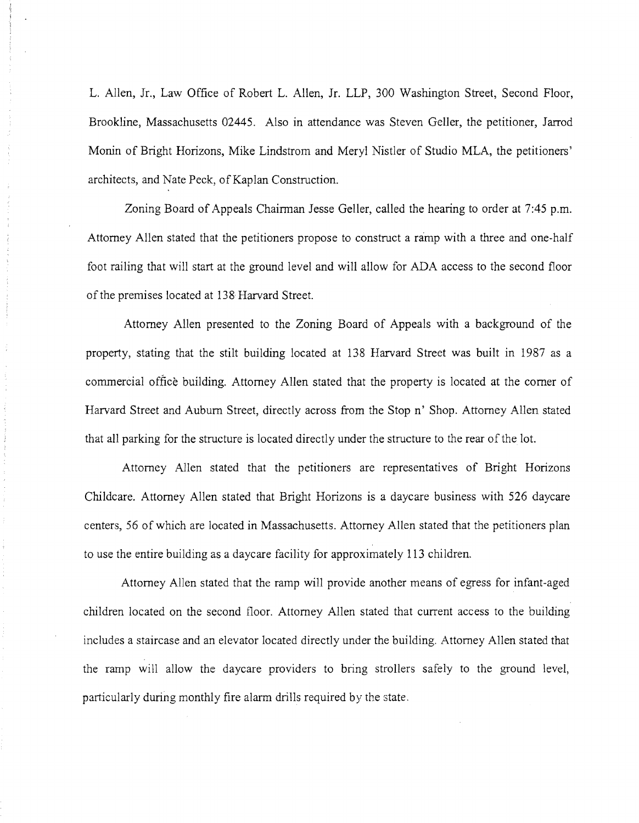L. Allen, Jr., Law Office of Robert L. Allen, Jr. LLP, 300 Washington Street, Second Floor, Brookline, Massachusetts 02445. Also in attendance was Steven Geller, the petitioner, Jarrod Monin of Bright Horizons, Mike Lindstrom and Meryl Nistler of Studio MLA, the petitioners' architects, and Nate Peck, of Kaplan Construction.

Zoning Board of Appeals Chairman Jesse Geller, called the hearing to order at 7:45 p.m. Attorney Allen stated that the petitioners propose to construct a ramp with a three and one-half foot railing that will start at the ground level and will allow for ADA access to the second floor of the premises located at 138 Harvard Street.

Attorney Allen presented to the Zoning Board of Appeals with a background of the property, stating that the stilt building located at 138 Harvard Street was built in 1987 as a commercial office building. Attorney Allen stated that the property is located at the comer of Harvard Street and Auburn Street, directly across from the Stop n' Shop. Attorney Allen stated that all parking for the structure is located directly under the structure to the rear ofthe lot.

Attorney Allen stated that the petitioners are representatives of Bright Horizons Childcare. Attorney Allen stated that Bright Horizons is a daycare business with 526 daycare centers, 56 of which are located in Massachusetts. Attorney Allen stated that the petitioners plan to use the entire building as a daycare facility for approximately 113 children.

Attorney Allen stated that the ramp will provide another means of egress for infant-aged children located on the second floor. Attorney Allen stated that current access to the building includes a staircase and an elevator located directly under the building. Attorney Allen stated that the ramp will allow the daycare providers to bring strollers safely to the ground level, particularly during monthly fire alarm drills required by the state.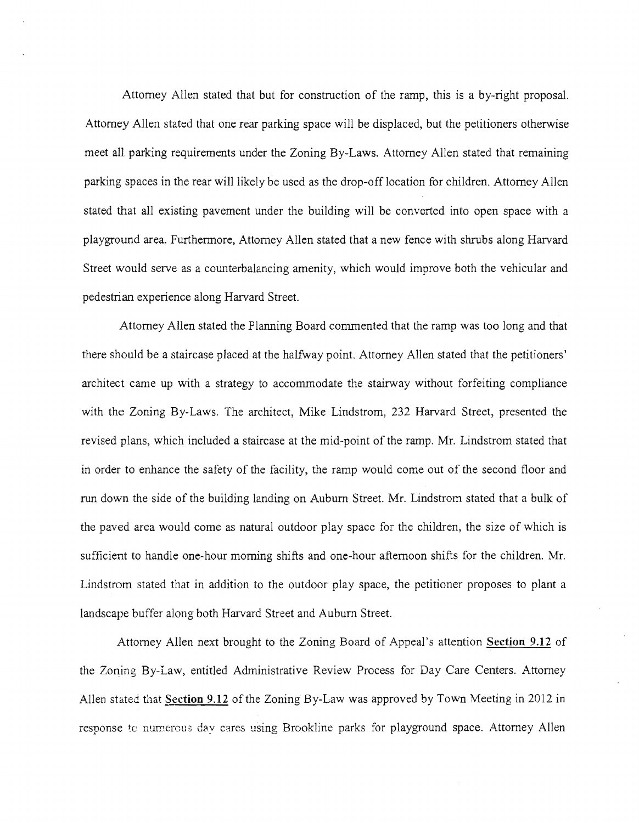Attorney Allen stated that but for construction of the ramp, this is a by-right proposal. Attorney Allen stated that one rear parking space will be displaced, but the petitioners otherwise meet all parking requirements under the Zoning By-Laws. Attorney Allen stated that remaining parking spaces in the rear will likely be used as the drop-off location for children. Attorney Allen stated that all existing pavement under the building will be converted into open space with a playground area. Furthermore, Attorney Allen stated that a new fence with shrubs along Harvard Street would serve as a counterbalancing amenity, which would improve both the vehicular and pedestrian experience along Harvard Street.

Attorney Allen stated the Planning Board commented that the ramp was too long and that there should be a staircase placed at the halfway point. Attorney Allen stated that the petitioners' architect came up with a strategy to accommodate the stairway without forfeiting compliance with the Zoning By-Laws. The architect, Mike Lindstrom, 232 Harvard Street, presented the revised plans, which included a staircase at the mid-point of the ramp. Mr. Lindstrom stated that in order to enhance the safety of the facility, the ramp would come out of the second floor and run down the side of the building landing on Auburn Street. Mr. Lindstrom stated that a bulk of the paved area would come as natural outdoor play space for the children, the size of which is sufficient to handle one-hour morning shifts and one-hour afternoon shifts for the children. Mr. Lindstrom stated that in addition to the outdoor play space, the petitioner proposes to plant a landscape buffer along both Harvard Street and Auburn Street.

Attorney Allen next brought to the Zoning Board of Appeal's attention Section 9.12 of the Zoning BY-Law, entitled Administrative Review Process for Day Care Centers. Attorney Allen stated that §ection 9.12 of the Zoning By-Law was approved by Town Meeting in 2012 in response to numerous day cares using Brookline parks for playground space. Attorney Allen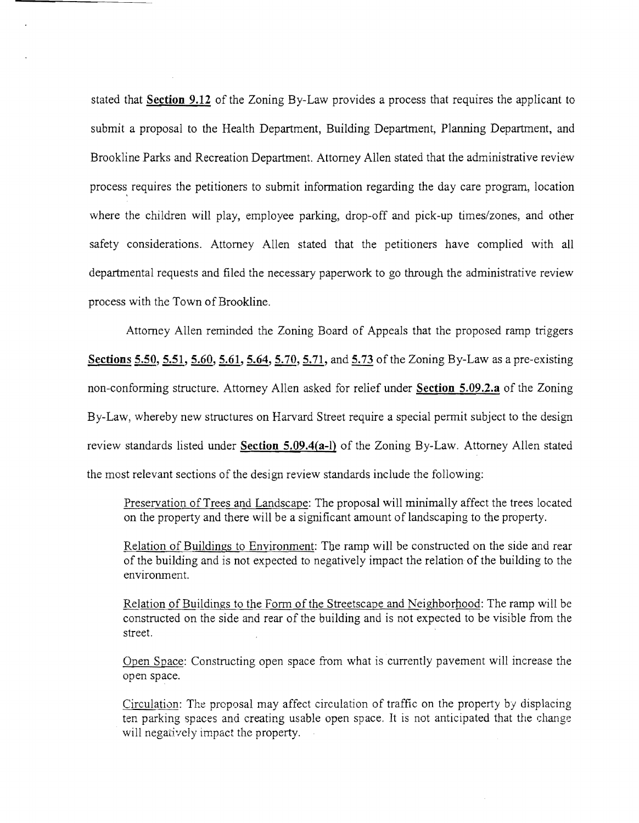stated that **Section 9.12** of the Zoning By-Law provides a process that requires the applicant to submit a proposal to the Health Department, Building Department, Planning Department, and Brookline Parks and Recreation Department. Attorney Allen stated that the administrative review process, requires the petitioners to submit information regarding the day care program, location where the children will play, employee parking, drop-off and pick-up times/zones, and other safety considerations. Attorney Allen stated that the petitioners have complied with all departmental requests and filed the necessary paperwork to go through the administrative review process with the Town of Brookline.

Attorney Allen reminded the Zoning Board of Appeals that the proposed ramp triggers **Sections 5.50, 5.51, 5.60, 5.61, 5.64, 5.70, 5.71, and 5.73** of the Zoning By-Law as a pre-existing non-conforming structure. Attorney Allen asked for relief under **Section 5.09.2.a** of the Zoning By-Law, whereby new structures on Harvard Street require a special permit subject to the design review standards listed under **Section 5.09.4(a-1)** of the Zoning By-Law. Attorney Allen stated the most relevant sections of the design review standards include the following:

Preservation of Trees and Landscape: The proposal will minimally affect the trees located on the property and there will be a significant amount of landscaping to the property.

Relation of Buildings to Environment: The ramp will be constructed on the side and rear of the building and is not expected to negatively impact the relation of the building to the environment.

Relation of Buildings to the Form of the Streetscape and Neighborhood: The ramp will be constructed on the side and rear of the building and is not expected to be visible from the street.

Open Space: Constructing open space from what is currently pavement will increase the open space.

Circulation: The proposal may affect circulation of traffic on the property by displacing ten parking spaces and creating usable open space. It is not anticipated that the change will negatively impact the property.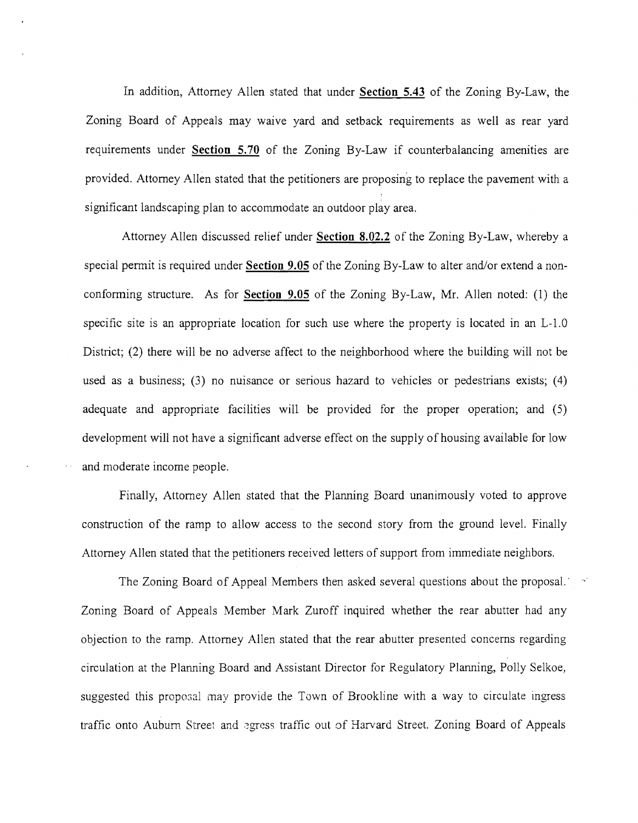In addition, Attorney Allen stated that under Section 5.43 of the Zoning By-Law, the Zoning Board of Appeals may waive yard and setback requirements as well as rear yard requirements under Section 5.70 of the Zoning By-Law if counterbalancing amenities are provided. Attorney Allen stated that the petitioners are proposing to replace the pavement with a significant landscaping plan to accommodate an outdoor play area.

Attorney Allen discussed relief under Section 8.02.2 of the Zoning By-Law, whereby a special permit is required under Section 9.05 of the Zoning By-Law to alter and/or extend a nonconforming structure. As for Section 9.05 of the Zoning By-Law, Mr. Allen noted: (1) the specific site is an appropriate location for such use where the property is located in an L-l.O District; (2) there will be no adverse affect to the neighborhood where the building will not be used as a business; (3) no nuisance or serious hazard to vehicles or pedestrians exists; (4) adequate and appropriate facilities will be provided for the proper operation; and (5) development will not have a significant adverse effect on the supply of housing available for low and moderate income people.

Finally, Attorney Allen stated that the Planning Board unanimously voted to approve construction of the ramp to allow access to the second story from the ground level. Finally Attorney Allen stated that the petitioners received letters of support from immediate neighbors.

The Zoning Board of Appeal Members then asked several questions about the proposal.  $\sim$ Zoning Board of Appeals Member Mark Zuroff inquired whether the rear abutter had any objection to the ramp. Attorney Allen stated that the rear abutter presented concerns regarding circulation at the Planning Board and Assistant Director for Regulatory Planning, Polly Selkoe, suggested this proposal may provide the Town of Brookline with a way to circulate ingress traffic onto Auburn Street and egress traffic out of Harvard Street. Zoning Board of Appeals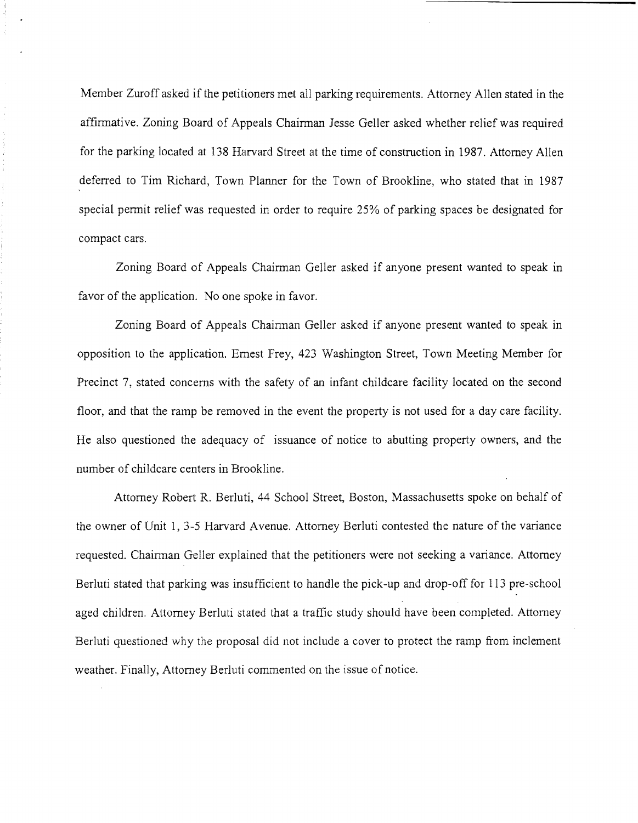Member Zuroff asked if the petitioners met all parking requirements. Attorney Allen stated in the affirmative. Zoning Board of Appeals Chairman Jesse Geller asked whether relief was required for the parking located at 138 Harvard Street at the time of construction in 1987. Attorney Allen deferred to Tim Richard, Town Planner for the Town of Brookline, who stated that in 1987 special permit relief was requested in order to require 25% of parking spaces be designated for compact cars.

Zoning Board of Appeals Chairman Geller asked if anyone present wanted to speak in favor of the application. No one spoke in favor.

Zoning Board of Appeals Chairman Geller asked if anyone present wanted to speak in opposition to the application. Ernest Frey, 423 Washington Street, Town Meeting Member for Precinct 7, stated concerns with the safety of an infant childcare facility located on the second floor, and that the ramp be removed in the event the property is not used for a day care facility. He also questioned the adequacy of issuance of notice to abutting property owners, and the number of childcare centers in Brookline.

Attorney Robert R. Berluti, 44 School Street, Boston, Massachusetts spoke on behalf of the owner of Unit 1, 3-5 Harvard Avenue. Attorney Berluti contested the nature of the variance requested. Chairman Geller explained that the petitioners were not seeking a variance. Attorney Berluti stated that parking was insufficient to handle the pick-up and drop-off for 113 pre-school aged children. Attorney Berluti stated that a traffic study should have been completed. Attorney Berluti questioned why the proposal did not include a cover to protect the ramp from inclement weather. Finally, Attorney Berluti commented on the issue of notice.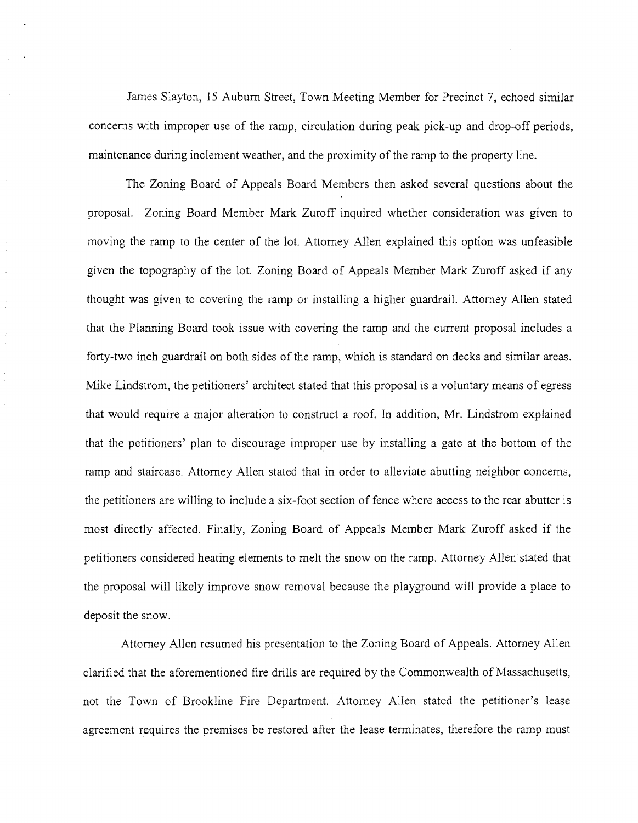James Slayton, 15 Auburn Street, Town Meeting Member for Precinct 7, echoed similar concerns with improper use of the ramp, circulation during peak pick-up and drop-off periods, maintenance during inclement weather, and the proximity of the ramp to the property line.

The Zoning Board of Appeals Board Members then asked several questions about the proposal. Zoning Board Member Mark Zuroff inquired whether consideration was given to moving the ramp to the center of the lot. Attorney Allen explained this option was unfeasible given the topography of the lot. Zoning Board of Appeals Member Mark Zuroff asked if any thought was given to covering the ramp or installing a higher guardrail. Attorney Allen stated that the Planning Board took issue with covering the ramp and the current proposal includes a forty-two inch guardrail on both sides of the ramp, which is standard on decks and similar areas. Mike Lindstrom, the petitioners' architect stated that this proposal is a voluntary means of egress that would require a major alteration to construct a roof. In addition, Mr. Lindstrom explained that the petitioners' plan to discourage improper use by installing a gate at the bottom of the ramp and staircase. Attorney Allen stated that in order to alleviate abutting neighbor concerns, the petitioners are willing to include a six-foot section of fence where access to the rear abutter is most directly affected. Finally, Zoning Board of Appeals Member Mark Zuroff asked if the petitioners considered heating elements to melt the snow on the ramp. Attorney Allen stated that the proposal will likely improve snow removal because the playground will provide a place to deposit the snow.

 $\frac{1}{2}$ 

 $\frac{1}{2}$ 

 $\hat{\tau}$ 

Attorney Allen resumed his presentation to the Zoning Board of Appeals. Attorney Allen . clarified that the aforementioned fire drills are required by the Commonwealth of Massachusetts, not the Town of Brookline Fire Department. Attorney Allen stated the petitioner's lease agreement requires the premises be restored after the lease tenninates, therefore the ramp must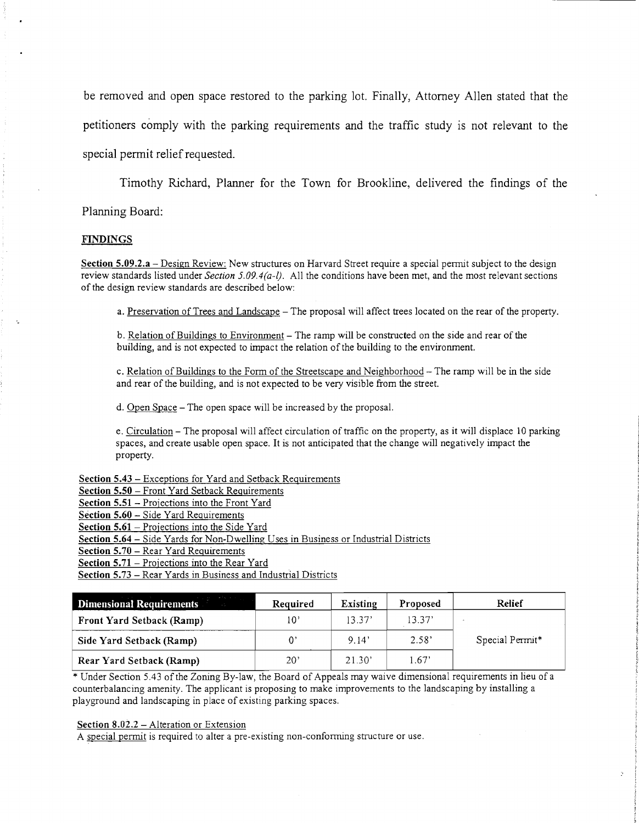be removed and open space restored to the parking lot. Finally, Attorney Allen stated that the petitioners comply with the parking requirements and the traffic study is not relevant to the special permit relief requested.

Timothy Richard, Planner for the Town for Brookline, delivered the findings of the

Planning Board:

### **FINDINGS**

Section 5.09.2.a - Design Review: New structures on Harvard Street require a special permit subject to the design review standards listed under *Section 5.09.4(a-l).* All the conditions have been met, and the most relevant sections of the design review standards are described below:

a. Preservation of Trees and Landscape - The proposal will affect trees located on the rear of the property.

b. Relation of Buildings to Environment – The ramp will be constructed on the side and rear of the building, and is not expected to impact the relation of the building to the environment.

c. Relation of Buildings to the Form of the Streetscape and Neighborhood - The ramp will be in the side and rear of the building, and is not expected to be very visible from the street.

d. Open Space - The open space will be increased by the proposal.

e. Circulation - The proposal will affect circulation of traffic on the property, as it will displace 10 parking spaces, and create usable open space. It is not anticipated that the change will negatively impact the property.

Section 5.43 - Exceptions for Yard and Setback Requirements

Section 5.50 - Front Yard Setback Requirements

Section 5.51 - Projections into the Front Yard

Section 5.60 - Side Yard Requirements

Section 5.61 - Projections into the Side Yard

Section 5.64 - Side Yards for Non-Dwelling Uses in Business or Industrial Districts

Section 5.70 - Rear Yard Requirements

Section 5.71 - Projections into the Rear Yard

Section 5.73 - Rear Yards in Business and Industrial Districts

| <b>Dimensional Requirements</b>  | Required     | <b>Existing</b> | Proposed | Relief                      |
|----------------------------------|--------------|-----------------|----------|-----------------------------|
| <b>Front Yard Setback (Ramp)</b> | 10'          | 13.37'          | 13.37'   |                             |
| Side Yard Setback (Ramp)         |              | 9.14'           | 2.58'    | Special Permit <sup>*</sup> |
| Rear Yard Setback (Ramp)         | $20^{\circ}$ | 21.30'          | 1.67'    |                             |

\* Under Section *S.43* of the Zoning By-law, the Board of Appeals may waive dimensional requirements in lieu ofa counterbalancing amenity. The applicant is proposing to make improvements to the landscaping by installing a playground and landscaping in place of existing parking spaces.

#### Section  $8.02.2$  – Alteration or Extension

A special permit is required to alter a pre-existing non-conforming structure or use.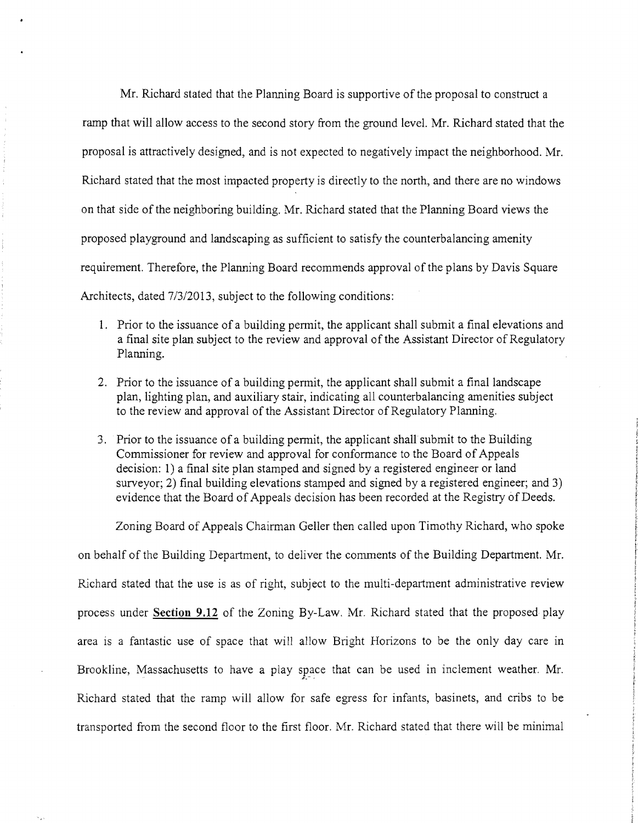Mr. Richard stated that the Planning Board is supportive of the proposal to construct a ramp that will allow access to the second story from the ground level. Mr. Richard stated that the proposal is attractively designed, and is not expected to negatively impact the neighborhood. Mr. Richard stated that the most impacted property is directly to the north, and there are no windows on that side of the neighboring building. Mr. Richard stated that the Planning Board views the proposed playground and landscaping as sufficient to satisfy the counterbalancing amenity requirement. Therefore, the Planning Board recommends approval of the plans by Davis Square Architects, dated *7/3120l3,* subject to the following conditions:

- 1. Prior to the issuance of a building permit, the applicant shall submit a final elevations and a final site plan subject to the review and approval of the Assistant Director of Regulatory Planning.
- 2. Prior to the issuance of a building permit, the applicant shall submit a final landscape plan, lighting plan, and auxiliary stair, indicating all counterbalancing amenities subject to the review and approval of the Assistant Director of Regulatory Planning.
- 3. Prior to the issuance of a building permit, the applicant shall submit to the Building Commissioner for review and approval for conformance to the Board of Appeals decision: 1) a final site plan stamped and signed by a registered engineer or land surveyor; 2) final building elevations stamped and signed by a registered engineer; and 3) evidence that the Board of Appeals decision has been recorded at the Registry of Deeds.

Zoning Board of Appeals Chairman Geller then called upon Timothy Richard, who spoke on behalf of the Building Department, to deliver the comments of the Building Department. Mr. Richard stated that the use is as of right, subject to the multi-department administrative review process under Section 9.12 of the Zoning By-Law. Mr. Richard stated that the proposed play area is a fantastic use of space that will allow Bright Horizons to be the only day care in Brookline, Massachusetts to have a play space that can be used in inclement weather. Mr. Richard stated that the ramp will allow for safe egress for infants, basinets, and cribs to be transported from the second floor to the first floor. Mr. Richard stated that there will be minimal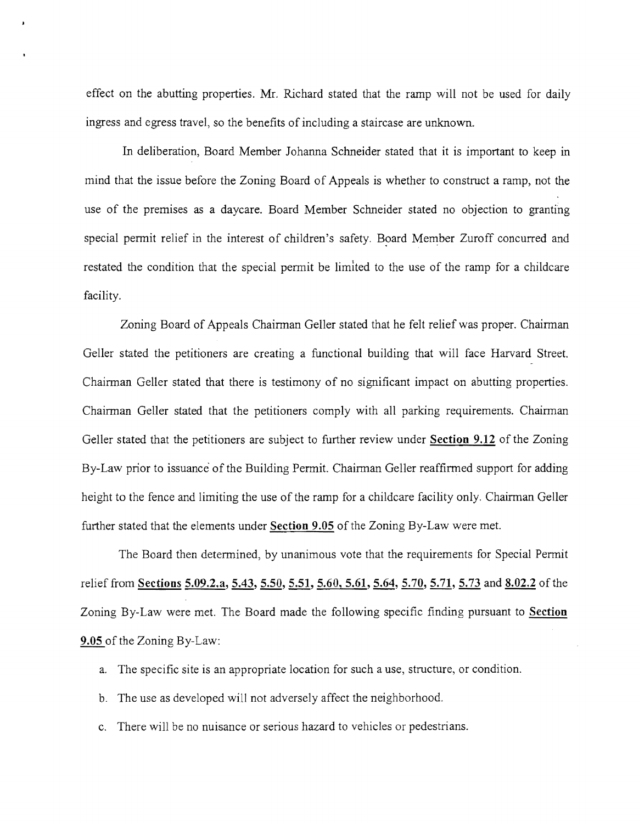effect on the abutting properties. Mr. Richard stated that the ramp will not be used for daily ingress and egress travel, so the benefits of including a staircase are unknown.

In deliberation, Board Member Johanna Schneider stated that it is important to keep in mind that the issue before the Zoning Board of Appeals is whether to construct a ramp, not the use of the premises as a daycare. Board Member Schneider stated no objection to granting special permit relief in the interest of children's safety. Board Member Zuroff concurred and restated the condition that the special permit be limited to the use of the ramp for a childcare facility.

Zoning Board of Appeals Chairman Geller stated that he felt relief was proper. Chairman Geller stated the petitioners are creating a functional building that will face Harvard Street. Chairman Geller stated that there is testimony of no significant impact on abutting properties. Chairman Geller stated that the petitioners comply with all parking requirements. Chairman Geller stated that the petitioners are subject to further review under **Section 9.12** of the Zoning By-Law prior to issuance' of the Building Permit. Chairman Geller reaffirmed support for adding height to the fence and limiting the use of the ramp for a childcare facility only. Chairman Geller further stated that the elements under Section 9.05 of the Zoning By-Law were met.

The Board then determined, by unanimous vote that the requirements for Special Permit relief from Sections 5.09.2.a, 5.43, 5.50, 5.51, 5.60, 5.61, 5.64, 5.70, 5.71, 5.73 and 8.02.2 of the Zoning By-Law were met. The Board made the following specific finding pursuant to Section 9.05 of the Zoning By-Law:

- a. The specific site is an appropriate location for such a use, structure, or condition.
- b. The use as developed will not adversely affect the neighborhood.
- c. There will be no nuisance or serious hazard to vehicles or pedestrians.